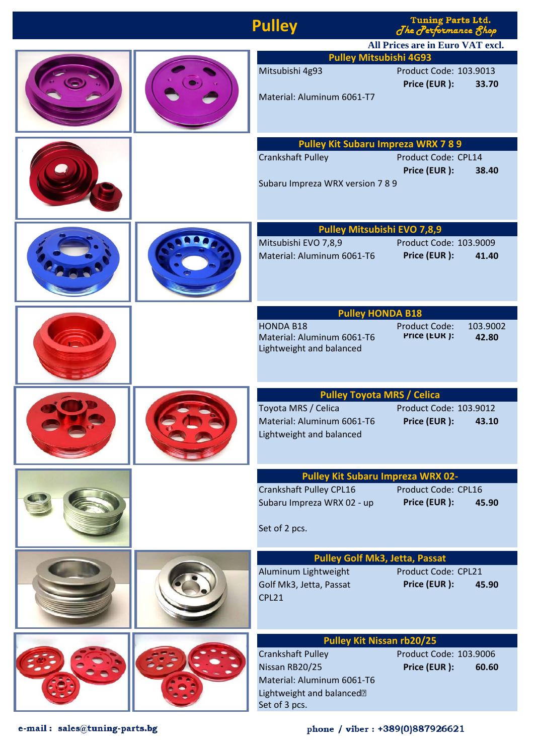| <b>Pulley</b><br>I uning raits Ltd.<br>Jhe Performance 8hop                                                                                                               |  |
|---------------------------------------------------------------------------------------------------------------------------------------------------------------------------|--|
| All Prices are in Euro VAT excl.                                                                                                                                          |  |
| <b>Pulley Mitsubishi 4G93</b><br>Product Code: 103.9013<br>Mitsubishi 4g93<br>Price (EUR):<br>33.70<br>Material: Aluminum 6061-T7                                         |  |
| <b>Pulley Kit Subaru Impreza WRX 7 8 9</b>                                                                                                                                |  |
| <b>Crankshaft Pulley</b><br>Product Code: CPL14<br>Price (EUR):<br>38.40<br>Subaru Impreza WRX version 7 8 9                                                              |  |
| <b>Pulley Mitsubishi EVO 7,8,9</b>                                                                                                                                        |  |
| Mitsubishi EVO 7,8,9<br>Product Code: 103.9009<br>Material: Aluminum 6061-T6<br>Price (EUR):<br>41.40                                                                     |  |
| <b>Pulley HONDA B18</b>                                                                                                                                                   |  |
| <b>HONDA B18</b><br><b>Product Code:</b><br>103.9002<br>Price (EUR ):<br>Material: Aluminum 6061-T6<br>42.80<br>Lightweight and balanced                                  |  |
| <b>Pulley Toyota MRS / Celica</b>                                                                                                                                         |  |
| Product Code: 103.9012<br>Toyota MRS / Celica<br>Material: Aluminum 6061-T6<br>Price (EUR ): 43.10<br>Lightweight and balanced                                            |  |
| <b>Pulley Kit Subaru Impreza WRX 02-</b>                                                                                                                                  |  |
| Crankshaft Pulley CPL16<br>Product Code: CPL16<br>Subaru Impreza WRX 02 - up<br>Price (EUR):<br>45.90<br>Set of 2 pcs.                                                    |  |
| <b>Pulley Golf Mk3, Jetta, Passat</b>                                                                                                                                     |  |
| Aluminum Lightweight<br>Product Code: CPL21<br>Price (EUR):<br>Golf Mk3, Jetta, Passat<br>45.90<br>CPL21                                                                  |  |
| <b>Pulley Kit Nissan rb20/25</b>                                                                                                                                          |  |
| Product Code: 103.9006<br><b>Crankshaft Pulley</b><br>Price (EUR):<br>Nissan RB20/25<br>60.60<br>Material: Aluminum 6061-T6<br>Lightweight and balanced?<br>Set of 3 pcs. |  |